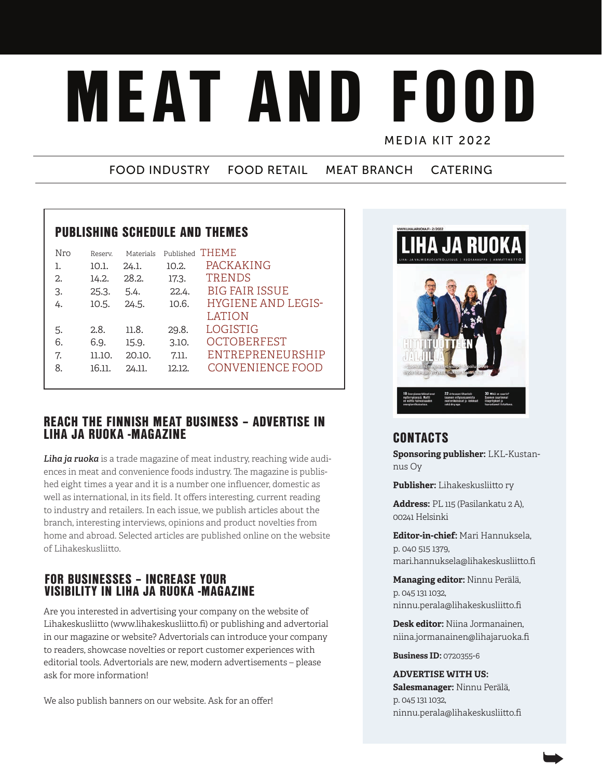# MEAT AND FOOD MEDIA KIT 2022

FOOD INDUSTRY FOOD RETAIL MEAT BRANCH CATERING

|     |         |           |           | <b>PUBLISHING SCHEDULE AND THEMES</b> |
|-----|---------|-----------|-----------|---------------------------------------|
| Nro | Reserv. | Materials | Published | <b>THEME</b>                          |
| 1.  | 10.1.   | 24.1.     | 10.2.     | PACKAKING                             |
| 2.5 | 14.2.   | 28.2.     | 17.3.     | <b>TRENDS</b>                         |
| 3.  | 25.3.   | 5.4.      | 22.4.     | <b>BIG FAIR ISSUE</b>                 |
| 4.  | 10.5.   | 24.5.     | 10.6.     | HYGIENE AND LEGIS-                    |
|     |         |           |           | <b>LATION</b>                         |
| 5.  | 2.8.    | 11.8.     | 29.8.     | LOGISTIG                              |
| 6.  | 6.9.    | 15.9.     | 3.10.     | OCTOBERFEST                           |
| 7.  | 11.10.  | 20.10.    | 7.11.     | ENTREPRENEURSHIP                      |
| 8.  | 16.11.  | 24.11.    | 12.12.    | CONVENIENCE FOOD                      |
|     |         |           |           |                                       |

## REACH THE FINNISH MEAT BUSINESS – ADVERTISE IN LIHA JA RUOKA -MAGAZINE

*Liha ja ruoka* is a trade magazine of meat industry, reaching wide audiences in meat and convenience foods industry. The magazine is published eight times a year and it is a number one influencer, domestic as well as international, in its field. It offers interesting, current reading to industry and retailers. In each issue, we publish articles about the branch, interesting interviews, opinions and product novelties from home and abroad. Selected articles are published online on the website of Lihakeskusliitto.

## FOR BUSINESSES – INCREASE YOUR VISIBILITY IN LIHA JA RUOKA -MAGAZINE

Are you interested in advertising your company on the website of Lihakeskusliitto (www.lihakeskusliitto.fi) or publishing and advertorial in our magazine or website? Advertorials can introduce your company to readers, showcase novelties or report customer experiences with editorial tools. Advertorials are new, modern advertisements – please ask for more information!

We also publish banners on our website. Ask for an offer!



# **CONTACTS**

**Sponsoring publisher:** LKL-Kustannus Oy

**Publisher:** Lihakeskusliitto ry

**Address:** PL 115 (Pasilankatu 2 A), 00241 Helsinki

**Editor-in-chief:** Mari Hannuksela, p. 040 515 1379, mari.hannuksela@lihakeskusliitto.fi

**Managing editor:** Ninnu Perälä, p. 045 131 1032, ninnu.perala@lihakeskusliitto.fi

**Desk editor:** Niina Jormanainen, niina.jormanainen@lihajaruoka.fi

**Business ID:** 0720355-6

**ADVERTISE WITH US: Salesmanager:** Ninnu Perälä, p. 045 131 1032, ninnu.perala@lihakeskusliitto.fi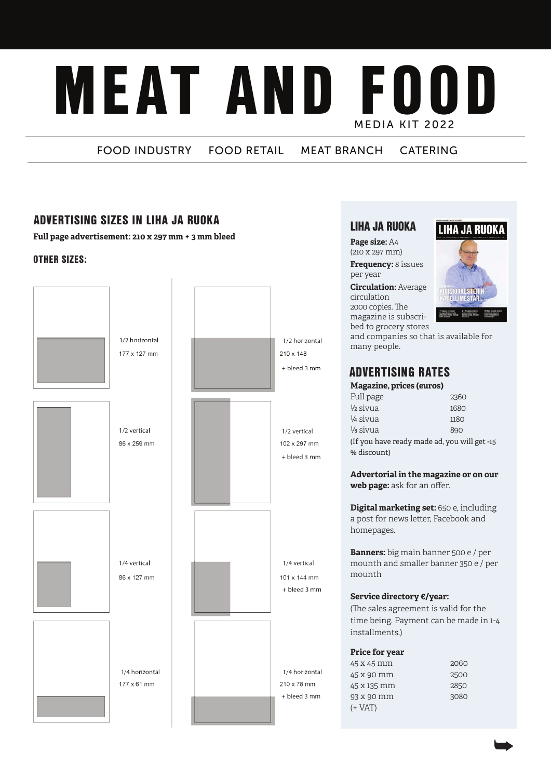# **MEAT AND F** MEDIA KIT 2022

FOOD INDUSTRY FOOD RETAIL MEAT BRANCH CATERING

# ADVERTISING SIZES IN LIHA JA RUOKA

**Full page advertisement: 210 x 297 mm + 3 mm bleed**

#### OTHER SIZES:



# LIHA JA RUOKA

**Page size:** A4 (210 x 297 mm)

**Frequency:** 8 issues per year

**Circulation:** Average circulation 2000 copies. The magazine is subscribed to grocery stores and companies so that is available for

many people.



# ADVERTISING RATES

| <b>Magazine, prices (euros)</b> |      |  |  |  |  |  |
|---------------------------------|------|--|--|--|--|--|
| Full page                       | 2360 |  |  |  |  |  |
| $\frac{1}{2}$ sivua             | 1680 |  |  |  |  |  |
| 1/4 sivua                       | 1180 |  |  |  |  |  |

 $\frac{1}{8}$  sivua 890 (If you have ready made ad, you will get -15 % discount)

**Advertorial in the magazine or on our web page:** ask for an offer.

**Digital marketing set:** 650 e, including a post for news letter, Facebook and homepages.

**Banners:** big main banner 500 e / per mounth and smaller banner 350 e / per mounth

#### **Service directory €/year:**

(The sales agreement is valid for the time being. Payment can be made in 1-4 installments.)

#### **Price for year**

45 x 45 mm 2060 45 x 90 mm 2500 45 x 135 mm 2850 93 x 90 mm 3080 (+ VAT)